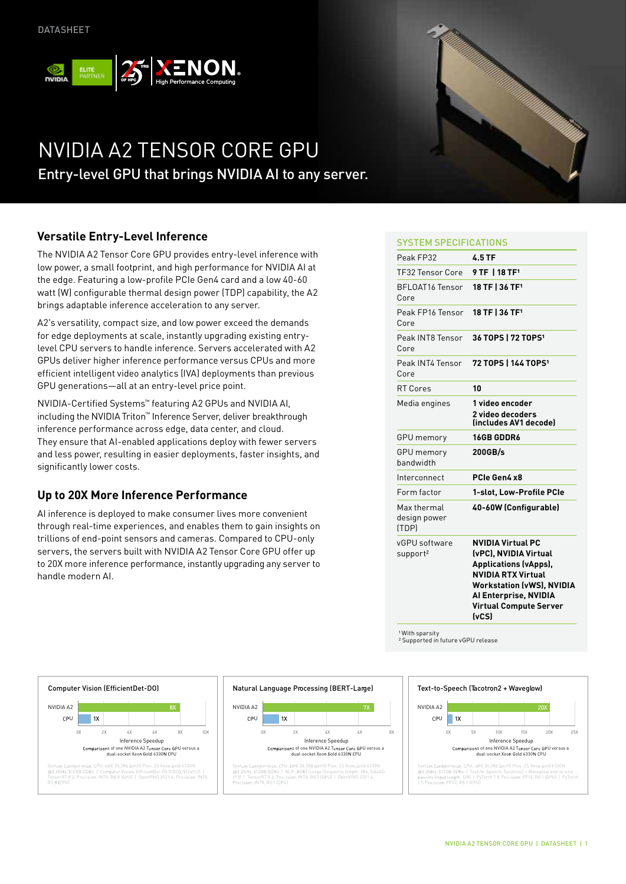

# NVIDIA A2 TENSOR CORE GPU Entry-level GPU that brings NVIDIA AI to any server.

## **Versatile Entry-Level Inference**

The NVIDIA A2 Tensor Core GPU provides entry-level inference with low power, a small footprint, and high performance for NVIDIA AI at the edge. Featuring a low-profile PCIe Gen4 card and a low 40-60 watt (W) configurable thermal design power (TDP) capability, the A2 brings adaptable inference acceleration to any server.  $\ddot{\phantom{1}}$ NVIDIA A2

A2's versatility, compact size, and low power exceed the demands for edge deployments at scale, instantly upgrading existing entrylevel CPU servers to handle inference. Servers accelerated with A2 GPUs deliver higher inference performance versus CPUs and more efficient intelligent video analytics (IVA) deployments than previous GPU generations—all at an entry-level price point.

NVIDIA-Certified Systems™ featuring A2 GPUs and NVIDIA AI, including the NVIDIA Triton™ Inference Server, deliver breakthrough inference performance across edge, data center, and cloud. They ensure that AI-enabled applications deploy with fewer servers and less power, resulting in easier deployments, faster insights, and significantly lower costs.

### **Up to 20X More Inference Performance**

AI inference is deployed to make consumer lives more convenient through real-time experiences, and enables them to gain insights on trillions of end-point sensors and cameras. Compared to CPU-only servers, the servers built with NVIDIA A2 Tensor Core GPU offer up to 20X more inference performance, instantly upgrading any server to handle modern AI.



### SYSTEM SPECIFICATIONS

| Peak FP32                             | 4.5 TF                                                                                                                                                                                                                |
|---------------------------------------|-----------------------------------------------------------------------------------------------------------------------------------------------------------------------------------------------------------------------|
| TF32 Tensor Core                      | 9 TF 1 18 TF <sup>1</sup>                                                                                                                                                                                             |
| <b>BFLOAT16 Tensor</b><br>Core        | 18 TF   36 TF <sup>1</sup>                                                                                                                                                                                            |
| Peak FP16 Tensor<br>Core              | 18 TF   36 TF <sup>1</sup>                                                                                                                                                                                            |
| Peak INT8 Tensor<br>Core              | 36 TOPS   72 TOPS <sup>1</sup>                                                                                                                                                                                        |
| Peak INT4 Tensor<br>Core              | 72 TOPS   144 TOPS <sup>1</sup>                                                                                                                                                                                       |
| <b>RT Cores</b>                       | 10                                                                                                                                                                                                                    |
| Media engines                         | 1 video encoder                                                                                                                                                                                                       |
|                                       | 2 video decoders<br>(includes AV1 decode)                                                                                                                                                                             |
| <b>GPU</b> memory                     | <b>16GB GDDR6</b>                                                                                                                                                                                                     |
| GPU memory<br>bandwidth               | 200GB/s                                                                                                                                                                                                               |
| Interconnect                          | PCIe Gen4 x8                                                                                                                                                                                                          |
| Form factor                           | 1-slot, Low-Profile PCIe                                                                                                                                                                                              |
| Max thermal<br>design power<br>(TDP)  | 40-60W (Configurable)                                                                                                                                                                                                 |
| vGPU software<br>support <sup>2</sup> | <b>NVIDIA Virtual PC</b><br>(vPC), NVIDIA Virtual<br><b>Applications (vApps),</b><br><b>NVIDIA RTX Virtual</b><br><b>Workstation (vWS), NVIDIA</b><br>Al Enterprise, NVIDIA<br><b>Virtual Compute Server</b><br>(vCS) |

<sup>1</sup> With sparsity<br><sup>2</sup> Supported in future vGPU release



#### Syst gura PU E DL38 en10 Plus, 2S Xeo old 6330N 12 4 | t-D0 ( 12x512) | TensorRT 8 , P NT8, B 8 ( U) | OpenVINO 202 4, P NT8, 4 | t-D0 ( 12x512) | NT8, B 8 ( U) | OpenVINO 202 4, P NT8, 12 4 | NL T-Large (Sequence length 84, SQuAD v1 ) | TensorRT 8, P NT8, B 1 ( U) | OpenVINO 202 4, 6X 10X  $1x$ 2X 4X 8X Computer Vision (EfficientDet-DO) Computer Vision (EfficientDet-DO) Inference Speedup is of one NVIDIA A2 Tensor Core GPU versus a<br>dual-socket Xeon Gold 6330N CPU 0X NVIDIA A2 CPU **PU EXECUTE: System Configuration: CPU** 6X 2X  $2\times 10^{14}$  and  $2\times 10^{14}$  and  $2\times 10^{14}$ Inference Speedup Comparison dual-socket Xeo old 6330 PU D Plus, 2S Xeon Gold 6330N Plus, 2S ystem Configuration: CPU  $1<sub>nx</sub>$

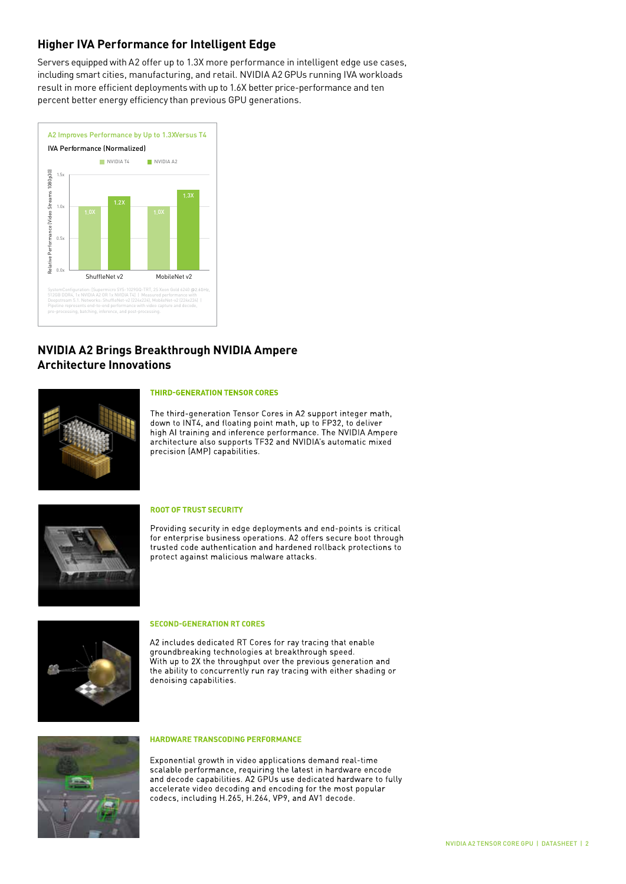### **Higher IVA Performance for Intelligent Edge**

Servers equipped with A2 offer up to 1.3X more performance in intelligent edge use cases, including smart cities, manufacturing, and retail. NVIDIA A2 GPUs running IVA workloads result in more efficient deployments with up to 1.6X better price-performance and ten percent better energy efficiency than previous GPU generations.



### **NVIDIA A2 Brings Breakthrough NVIDIA Ampere Architecture Innovations**



#### **THIRD-GENERATION TENSOR CORES**

The third-generation Tensor Cores in A2 support integer math, down to INT4, and floating point math, up to FP32, to deliver high AI training and inference performance. The NVIDIA Ampere architecture also supports TF32 and NVIDIA's automatic mixed precision (AMP) capabilities.



#### **ROOT OF TRUST SECURITY**

Providing security in edge deployments and end-points is critical for enterprise business operations. A2 offers secure boot through trusted code authentication and hardened rollback protections to protect against malicious malware attacks.



#### ECOND CENEDATION BY CODEC

relative Performance (Video Stream)<br>Performance (Video Streams 1080<br>Relative Streams 1080<br>Relative Streams 1080 A2 includes dedicated RT Cores for ray tracing that enable aking technologies at bre .ogies at preaktifiough speed.<br>Jhput over the previous generation a With up to 2X the e ability to concurrently run ray tracing with eithe denoising capabilities.



**Exponential growth in video applications demand real-time** and the state of the Exponential growth in video applications demand real-time  $\blacksquare$  scalable performance, requiring the latest in hardware encode accelerate video decoding and encoding for the most popular codecs, including H.265, H.264, VP9, and AV1 decode.